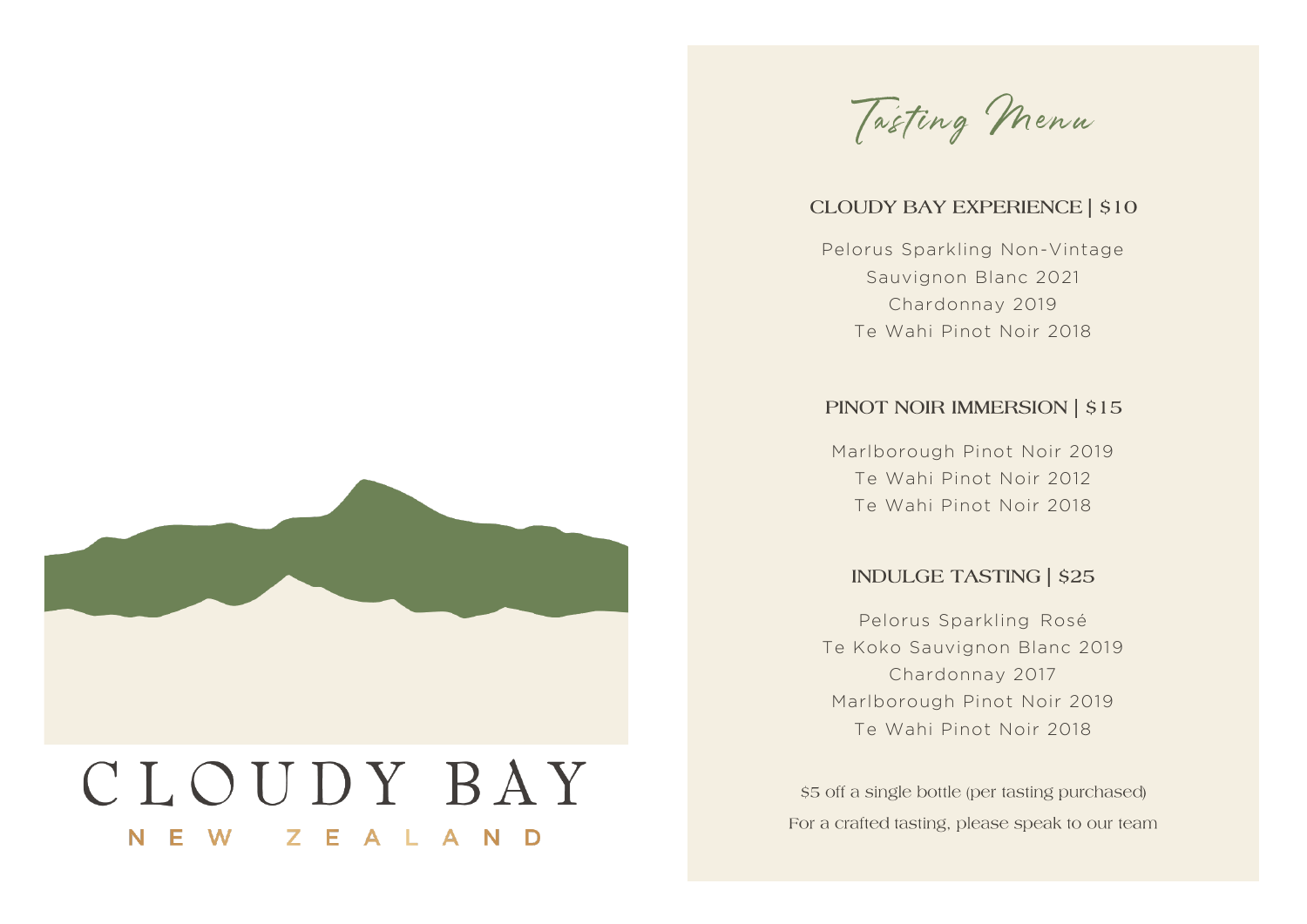

#### **CLOUDY BAY EXPERIENCE | \$10**

*Pelorus Sparkling Non-Vintage Sauvignon Blanc 2021 Chardonnay 2019 Te Wahi Pinot Noir 2018*

## PINOT NOIR IMMERSION | \$15

*Marlborough Pinot Noir 2019 Te Wahi Pinot Noir 2012 Te Wahi Pinot Noir 2018*

### **INDULGE TASTING | \$25**

*Pelorus Sparkling Rosé Te Koko Sauvignon Blanc 2019 Chardonnay 2017 Marlborough Pinot Noir 2019 Te Wahi Pinot Noir 2018*

\$5 off a single bottle (per tasting purchased) For a crafted tasting, please speak to our team